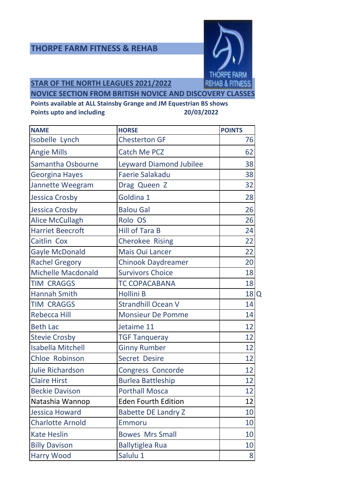### **THORPE FARM FITNESS & REHAB**



**STAR OF THE NORTH LEAGUES 2021/2022**

**NOVICE SECTION FROM BRITISH NOVICE AND DISCOVERY CLASSES**

| <b>NAME</b>               | <b>HORSE</b>                   | <b>POINTS</b> |
|---------------------------|--------------------------------|---------------|
| Isobelle Lynch            | <b>Chesterton GF</b>           | 76            |
| <b>Angie Mills</b>        | <b>Catch Me PCZ</b>            | 62            |
| Samantha Osbourne         | <b>Leyward Diamond Jubilee</b> | 38            |
| <b>Georgina Hayes</b>     | <b>Faerie Salakadu</b>         | 38            |
| Jannette Weegram          | Drag Queen Z                   | 32            |
| <b>Jessica Crosby</b>     | Goldina 1                      | 28            |
| <b>Jessica Crosby</b>     | <b>Balou Gal</b>               | 26            |
| <b>Alice McCullagh</b>    | Rolo OS                        | 26            |
| <b>Harriet Beecroft</b>   | <b>Hill of Tara B</b>          | 24            |
| Caitlin Cox               | <b>Cherokee Rising</b>         | 22            |
| <b>Gayle McDonald</b>     | <b>Mais Oui Lancer</b>         | 22            |
| <b>Rachel Gregory</b>     | <b>Chinook Daydreamer</b>      | 20            |
| <b>Michelle Macdonald</b> | <b>Survivors Choice</b>        | 18            |
| <b>TIM CRAGGS</b>         | <b>TC COPACABANA</b>           | 18            |
| <b>Hannah Smith</b>       | Hollini B                      | 18<br>Q       |
| <b>TIM CRAGGS</b>         | <b>Strandhill Ocean V</b>      | 14            |
| <b>Rebecca Hill</b>       | <b>Monsieur De Pomme</b>       | 14            |
| <b>Beth Lac</b>           | Jetaime 11                     | 12            |
| <b>Stevie Crosby</b>      | <b>TGF Tanqueray</b>           | 12            |
| <b>Isabella Mitchell</b>  | <b>Ginny Rumber</b>            | 12            |
| <b>Chloe Robinson</b>     | <b>Secret Desire</b>           | 12            |
| <b>Julie Richardson</b>   | Congress Concorde              | 12            |
| <b>Claire Hirst</b>       | <b>Burlea Battleship</b>       | 12            |
| <b>Beckie Davison</b>     | <b>Porthall Mosca</b>          | 12            |
| Natashia Wannop           | <b>Eden Fourth Edition</b>     | 12            |
| <b>Jessica Howard</b>     | <b>Babette DE Landry Z</b>     | 10            |
| <b>Charlotte Arnold</b>   | Emmoru                         | 10            |
| <b>Kate Heslin</b>        | <b>Bowes Mrs Small</b>         | 10            |
| <b>Billy Davison</b>      | <b>Ballytiglea Rua</b>         | 10            |
| <b>Harry Wood</b>         | Salulu 1                       | 8             |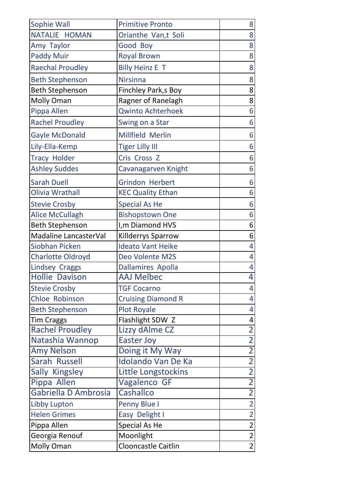| Sophie Wall              | <b>Primitive Pronto</b>   | 8                        |
|--------------------------|---------------------------|--------------------------|
| NATALIE HOMAN            | Orianthe Van,t Soli       | 8                        |
| Amy Taylor               | Good Boy                  | 8                        |
| <b>Paddy Muir</b>        | <b>Royal Brown</b>        | 8                        |
| <b>Raechal Proudley</b>  | <b>Billy Heinz E T</b>    | 8                        |
| <b>Beth Stephenson</b>   | <b>Nirsinna</b>           | 8                        |
| <b>Beth Stephenson</b>   | Finchley Park, s Boy      | 8                        |
| Molly Oman               | Ragner of Ranelagh        | 8                        |
| Pippa Allen              | <b>Qwinto Achterhoek</b>  | 6                        |
| <b>Rachel Proudley</b>   | Swing on a Star           | 6                        |
| <b>Gayle McDonald</b>    | Millfield Merlin          | 6                        |
| Lily-Ella-Kemp           | <b>Tiger Lilly III</b>    | 6                        |
| <b>Tracy Holder</b>      | Cris Cross Z              | 6                        |
| <b>Ashley Suddes</b>     | Cavanagarven Knight       | 6                        |
| <b>Sarah Duell</b>       | <b>Grindon Herbert</b>    | 6                        |
| Olivia Wrathall          | <b>KEC Quality Ethan</b>  | 6                        |
| <b>Stevie Crosby</b>     | <b>Special As He</b>      | 6                        |
| <b>Alice McCullagh</b>   | <b>Bishopstown One</b>    | 6                        |
| <b>Beth Stephenson</b>   | I, m Diamond HVS          | 6                        |
| Madaline LancasterVal    | Killderrys Sparrow        | 6                        |
| <b>Siobhan Picken</b>    | <b>Ideato Vant Heike</b>  | 4                        |
| <b>Charlotte Oldroyd</b> | Deo Volente M2S           | 4                        |
| <b>Lindsey Craggs</b>    | <b>Dallamires Apolla</b>  | 4                        |
| Hollie Davison           | <b>AAJ Melbec</b>         | $\overline{\mathcal{A}}$ |
| <b>Stevie Crosby</b>     | <b>TGF Cocarno</b>        | 4                        |
| Chloe Robinson           | <b>Cruising Diamond R</b> | 4                        |
| <b>Beth Stephenson</b>   | <b>Plot Royale</b>        | 4                        |
| <b>Tim Craggs</b>        | Flashlight SDW Z          | 4                        |
| <b>Rachel Proudley</b>   | Lizzy dAlme CZ            | $\overline{2}$           |
| Natashia Wannop          | <b>Easter Joy</b>         | $\overline{2}$           |
| <b>Amy Nelson</b>        | Doing it My Way           | $\overline{2}$           |
| Sarah Russell            | <b>Idolando Van De Ka</b> | $\overline{2}$           |
| Sally Kingsley           | Little Longstockins       | $\overline{2}$           |
| Pippa Allen              | Vagalenco GF              | $\overline{2}$           |
| Gabriella D Ambrosia     | Cashallco                 | $\overline{2}$           |
| Libby Lupton             | Penny Blue I              | $\overline{2}$           |
| <b>Helen Grimes</b>      | Easy Delight I            | $\overline{2}$           |
| Pippa Allen              | Special As He             | $\overline{2}$           |
| Georgia Renouf           | Moonlight                 | $\overline{2}$           |
| <b>Molly Oman</b>        | Clooncastle Caitlin       | $\overline{2}$           |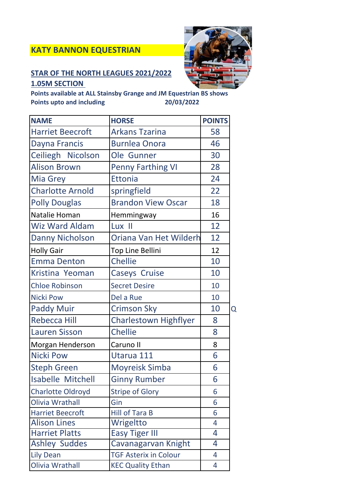# **KATY BANNON EQUESTRIAN**

## **STAR OF THE NORTH LEAGUES 2021/2022 1.05M SECTION**



| <b>NAME</b>              | <b>HORSE</b>                 | <b>POINTS</b> |          |
|--------------------------|------------------------------|---------------|----------|
| <b>Harriet Beecroft</b>  | <b>Arkans Tzarina</b>        | 58            |          |
| Dayna Francis            | <b>Burnlea Onora</b>         | 46            |          |
| Ceiliegh Nicolson        | Ole Gunner                   | 30            |          |
| <b>Alison Brown</b>      | <b>Penny Farthing VI</b>     | 28            |          |
| <b>Mia Grey</b>          | <b>Ettonia</b>               | 24            |          |
| <b>Charlotte Arnold</b>  | springfield                  | 22            |          |
| <b>Polly Douglas</b>     | <b>Brandon View Oscar</b>    | 18            |          |
| Natalie Homan            | Hemmingway                   | 16            |          |
| <b>Wiz Ward Aldam</b>    | Lux II                       | 12            |          |
| <b>Danny Nicholson</b>   | Oriana Van Het Wilderh       | 12            |          |
| <b>Holly Gair</b>        | Top Line Bellini             | 12            |          |
| <b>Emma Denton</b>       | <b>Chellie</b>               | 10            |          |
| Kristina Yeoman          | <b>Caseys Cruise</b>         | 10            |          |
| <b>Chloe Robinson</b>    | <b>Secret Desire</b>         | 10            |          |
| <b>Nicki Pow</b>         | Del a Rue                    | 10            |          |
| <b>Paddy Muir</b>        | <b>Crimson Sky</b>           | 10            | $\Omega$ |
| <b>Rebecca Hill</b>      | <b>Charlestown Highflyer</b> | 8             |          |
| <b>Lauren Sisson</b>     | <b>Chellie</b>               | 8             |          |
| Morgan Henderson         | Caruno II                    | 8             |          |
| <b>Nicki Pow</b>         | Utarua 111                   | 6             |          |
| <b>Steph Green</b>       | <b>Moyreisk Simba</b>        | 6             |          |
| <b>Isabelle Mitchell</b> | <b>Ginny Rumber</b>          | 6             |          |
| <b>Charlotte Oldroyd</b> | <b>Stripe of Glory</b>       | 6             |          |
| <b>Olivia Wrathall</b>   | Gin                          | 6             |          |
| <b>Harriet Beecroft</b>  | <b>Hill of Tara B</b>        | 6             |          |
| <b>Alison Lines</b>      | Wrigeltto                    | 4             |          |
| <b>Harriet Platts</b>    | <b>Easy Tiger III</b>        | 4             |          |
| <b>Ashley Suddes</b>     | Cavanagarvan Knight          | 4             |          |
| <b>Lily Dean</b>         | <b>TGF Asterix in Colour</b> | 4             |          |
| <b>Olivia Wrathall</b>   | <b>KEC Quality Ethan</b>     | 4             |          |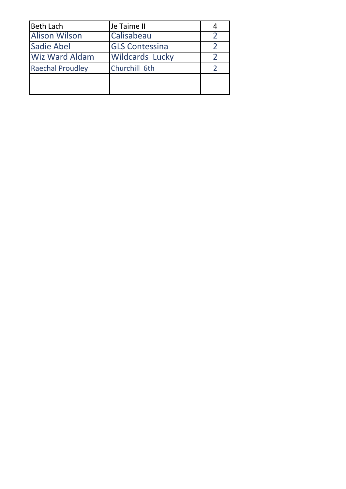| <b>Beth Lach</b>        | Je Taime II            |  |
|-------------------------|------------------------|--|
| <b>Alison Wilson</b>    | Calisabeau             |  |
| <b>Sadie Abel</b>       | <b>GLS Contessina</b>  |  |
| <b>Wiz Ward Aldam</b>   | <b>Wildcards Lucky</b> |  |
| <b>Raechal Proudley</b> | Churchill 6th          |  |
|                         |                        |  |
|                         |                        |  |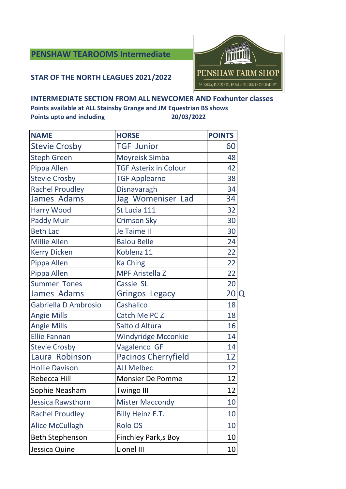## **PENSHAW TEAROOMS Intermediate**

#### **STAR OF THE NORTH LEAGUES 2021/2022**



#### **INTERMEDIATE SECTION FROM ALL NEWCOMER AND Foxhunter classes**

| <b>NAME</b>            | <b>HORSE</b>                 | <b>POINTS</b>        |
|------------------------|------------------------------|----------------------|
| <b>Stevie Crosby</b>   | <b>TGF Junior</b>            | 60                   |
| <b>Steph Green</b>     | Moyreisk Simba               | 48                   |
| Pippa Allen            | <b>TGF Asterix in Colour</b> | 42                   |
| <b>Stevie Crosby</b>   | <b>TGF Applearno</b>         | 38                   |
| <b>Rachel Proudley</b> | Disnavaragh                  | 34                   |
| James Adams            | Jag Womeniser Lad            | 34                   |
| <b>Harry Wood</b>      | St Lucia 111                 | 32                   |
| <b>Paddy Muir</b>      | <b>Crimson Sky</b>           | 30                   |
| <b>Beth Lac</b>        | Je Taime II                  | 30                   |
| <b>Millie Allen</b>    | <b>Balou Belle</b>           | 24                   |
| <b>Kerry Dicken</b>    | Koblenz 11                   | 22                   |
| Pippa Allen            | <b>Ka Ching</b>              | 22                   |
| Pippa Allen            | <b>MPF Aristella Z</b>       | 22                   |
| <b>Summer Tones</b>    | Cassie SL                    | 20                   |
| James Adams            | <b>Gringos Legacy</b>        | 20 <sup>1</sup><br>Q |
| Gabriella D Ambrosio   | Cashallco                    | 18                   |
| <b>Angie Mills</b>     | Catch Me PC Z                | 18                   |
| <b>Angie Mills</b>     | Salto d Altura               | 16                   |
| <b>Ellie Fannan</b>    | <b>Windyridge Mcconkie</b>   | 14                   |
| <b>Stevie Crosby</b>   | Vagalenco GF                 | 14                   |
| Laura Robinson         | <b>Pacinos Cherryfield</b>   | 12                   |
| <b>Hollie Davison</b>  | <b>AJJ Melbec</b>            | 12                   |
| Rebecca Hill           | <b>Monsier De Pomme</b>      | 12                   |
| Sophie Neasham         | <b>Twingo III</b>            | 12                   |
| Jessica Rawsthorn      | <b>Mister Maccondy</b>       | 10                   |
| <b>Rachel Proudley</b> | Billy Heinz E.T.             | 10                   |
| <b>Alice McCullagh</b> | <b>Rolo OS</b>               | 10                   |
| <b>Beth Stephenson</b> | <b>Finchley Park,s Boy</b>   | 10                   |
| Jessica Quine          | Lionel III                   | 10                   |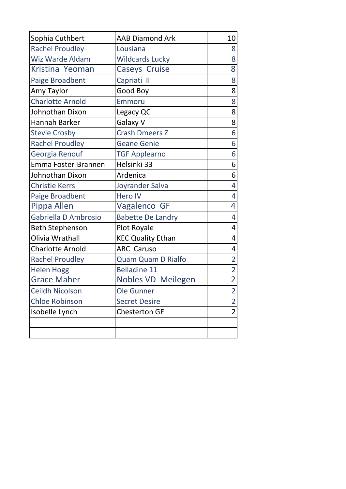| Sophia Cuthbert         | <b>AAB Diamond Ark</b>    | 10             |
|-------------------------|---------------------------|----------------|
| <b>Rachel Proudley</b>  | Lousiana                  | 8              |
| <b>Wiz Warde Aldam</b>  | <b>Wildcards Lucky</b>    | 8              |
| Kristina Yeoman         | <b>Caseys Cruise</b>      | 8              |
| Paige Broadbent         | Capriati II               | 8              |
| Amy Taylor              | Good Boy                  | 8              |
| <b>Charlotte Arnold</b> | Emmoru                    | 8              |
| Johnothan Dixon         | Legacy QC                 | 8              |
| Hannah Barker           | Galaxy V                  | 8              |
| <b>Stevie Crosby</b>    | <b>Crash Dmeers Z</b>     | 6              |
| <b>Rachel Proudley</b>  | <b>Geane Genie</b>        | 6              |
| Georgia Renouf          | <b>TGF Applearno</b>      | 6              |
| Emma Foster-Brannen     | Helsinki 33               | 6              |
| Johnothan Dixon         | Ardenica                  | 6              |
| <b>Christie Kerrs</b>   | Joyrander Salva           | 4              |
| Paige Broadbent         | <b>Hero IV</b>            | 4              |
| Pippa Allen             | Vagalenco GF              | 4              |
| Gabriella D Ambrosio    | <b>Babette De Landry</b>  | 4              |
| <b>Beth Stephenson</b>  | Plot Royale               | 4              |
| Olivia Wrathall         | <b>KEC Quality Ethan</b>  | 4              |
| <b>Charlotte Arnold</b> | <b>ABC Caruso</b>         | 4              |
| <b>Rachel Proudley</b>  | <b>Quam Quam D Rialfo</b> | $\overline{2}$ |
| <b>Helen Hogg</b>       | <b>Belladine 11</b>       | $\overline{2}$ |
| <b>Grace Maher</b>      | <b>Nobles VD Meilegen</b> | $\overline{2}$ |
| Ceildh Nicolson         | Ole Gunner                | $\overline{2}$ |
| <b>Chloe Robinson</b>   | <b>Secret Desire</b>      | $\overline{2}$ |
| Isobelle Lynch          | <b>Chesterton GF</b>      | $\overline{2}$ |
|                         |                           |                |
|                         |                           |                |